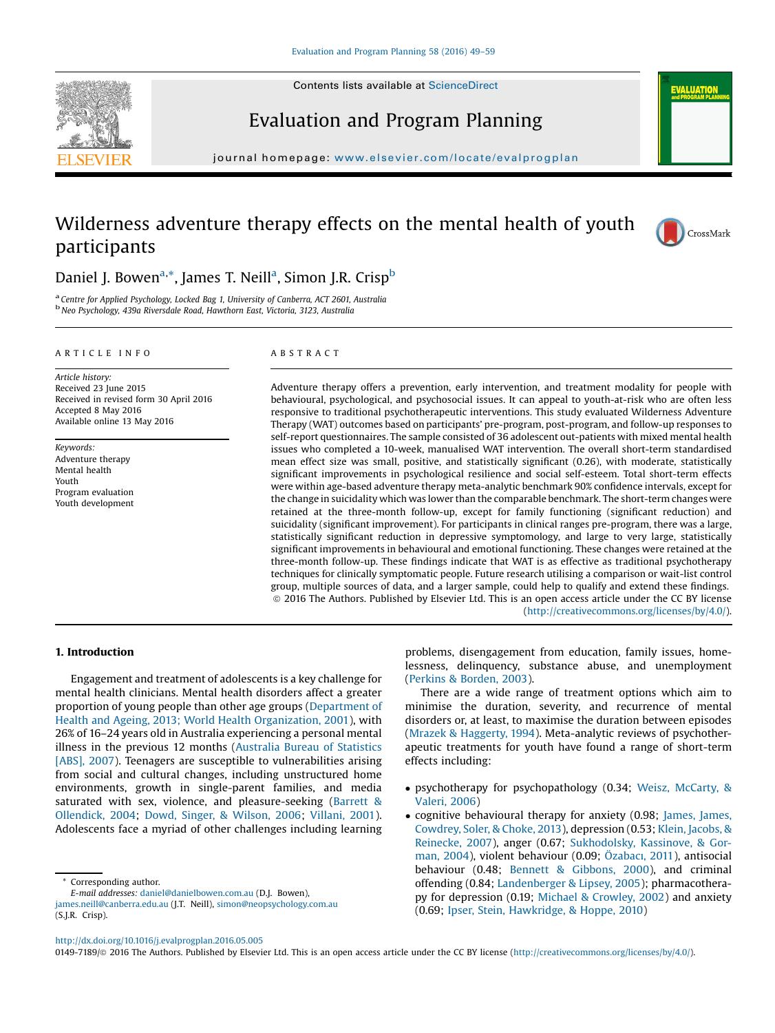



journal homepage: <www.elsevier.com/locate/evalprogplan>

# Wilderness adventure therapy effects on the mental health of youth participants



**ALUATIO** 

# Daniel J. Bowen<sup>a,\*</sup>, James T. Neill<sup>a</sup>, Simon J.R. Crisp<sup>b</sup>

<sup>a</sup> Centre for Applied Psychology, Locked Bag 1, University of Canberra, ACT 2601, Australia **b**<br><sup>b</sup> Neo Psychology, 439a Riversdale Road, Hawthorn East, Victoria, 3123, Australia

#### A R T I C L E I N F O

Article history: Received 23 June 2015 Received in revised form 30 April 2016 Accepted 8 May 2016 Available online 13 May 2016

Keywords: Adventure therapy Mental health Youth Program evaluation Youth development

# A B S T R A C T

Adventure therapy offers a prevention, early intervention, and treatment modality for people with behavioural, psychological, and psychosocial issues. It can appeal to youth-at-risk who are often less responsive to traditional psychotherapeutic interventions. This study evaluated Wilderness Adventure Therapy (WAT) outcomes based on participants' pre-program, post-program, and follow-up responses to self-report questionnaires. The sample consisted of 36 adolescent out-patients with mixed mental health issues who completed a 10-week, manualised WAT intervention. The overall short-term standardised mean effect size was small, positive, and statistically significant (0.26), with moderate, statistically significant improvements in psychological resilience and social self-esteem. Total short-term effects were within age-based adventure therapy meta-analytic benchmark 90% confidence intervals, except for the change in suicidality which was lower than the comparable benchmark. The short-term changes were retained at the three-month follow-up, except for family functioning (significant reduction) and suicidality (significant improvement). For participants in clinical ranges pre-program, there was a large, statistically significant reduction in depressive symptomology, and large to very large, statistically significant improvements in behavioural and emotional functioning. These changes were retained at the three-month follow-up. These findings indicate that WAT is as effective as traditional psychotherapy techniques for clinically symptomatic people. Future research utilising a comparison or wait-list control group, multiple sources of data, and a larger sample, could help to qualify and extend these findings. ã 2016 The Authors. Published by Elsevier Ltd. This is an open access article under the CC BY license [\(http://creativecommons.org/licenses/by/4.0/](http://creativecommons.org/licenses/by/4.0/)).

# 1. Introduction

Engagement and treatment of adolescents is a key challenge for mental health clinicians. Mental health disorders affect a greater proportion of young people than other age groups ([Department](#page-9-0) of Health and Ageing, 2013; World Health [Organization,](#page-9-0) 2001), with 26% of 16–24 years old in Australia experiencing a personal mental illness in the previous 12 months [\(Australia](#page-9-0) Bureau of Statistics [\[ABS\],](#page-9-0) 2007). Teenagers are susceptible to vulnerabilities arising from social and cultural changes, including unstructured home environments, growth in single-parent families, and media saturated with sex, violence, and pleasure-seeking [\(Barrett](#page-9-0) & [Ollendick,](#page-9-0) 2004; Dowd, Singer, & [Wilson,](#page-9-0) 2006; [Villani,](#page-10-0) 2001). Adolescents face a myriad of other challenges including learning

Corresponding author.

(S.J.R. Crisp).

E-mail addresses: [daniel@danielbowen.com.au](mailto:daniel@danielbowen.com.au) (D.J. Bowen), [james.neill@canberra.edu.au](mailto:james.neill@canberra.edu.au) (J.T. Neill), [simon@neopsychology.com.au](mailto:simon@neopsychology.com.au) problems, disengagement from education, family issues, homelessness, delinquency, substance abuse, and unemployment (Perkins & [Borden,](#page-10-0) 2003).

There are a wide range of treatment options which aim to minimise the duration, severity, and recurrence of mental disorders or, at least, to maximise the duration between episodes (Mrazek & [Haggerty,](#page-10-0) 1994). Meta-analytic reviews of psychotherapeutic treatments for youth have found a range of short-term effects including:

- psychotherapy for psychopathology (0.34; Weisz, [McCarty,](#page-10-0) & [Valeri,](#page-10-0) 2006)
- cognitive behavioural therapy for anxiety (0.98; [James,](#page-10-0) James, [Cowdrey,](#page-10-0) Soler, & Choke, 2013), depression (0.53; Klein, [Jacobs,](#page-10-0) & [Reinecke,](#page-10-0) 2007), anger (0.67; [Sukhodolsky,](#page-10-0) Kassinove, & Gorman, [2004\)](#page-10-0), violent behaviour (0.09; [Özabac](#page-9-0)ı, 2011), antisocial behaviour (0.48; Bennett & [Gibbons,](#page-9-0) 2000), and criminal offending (0.84; [Landenberger](#page-10-0) & Lipsey, 2005); pharmacotherapy for depression (0.19; Michael & [Crowley,](#page-10-0) 2002) and anxiety (0.69; Ipser, Stein, [Hawkridge,](#page-10-0) & Hoppe, 2010)

0149-7189/© 2016 The Authors. Published by Elsevier Ltd. This is an open access article under the CC BY license ([http://creativecommons.org/licenses/by/4.0/\)](http://creativecommons.org/licenses/by/4.0/).

<http://dx.doi.org/10.1016/j.evalprogplan.2016.05.005>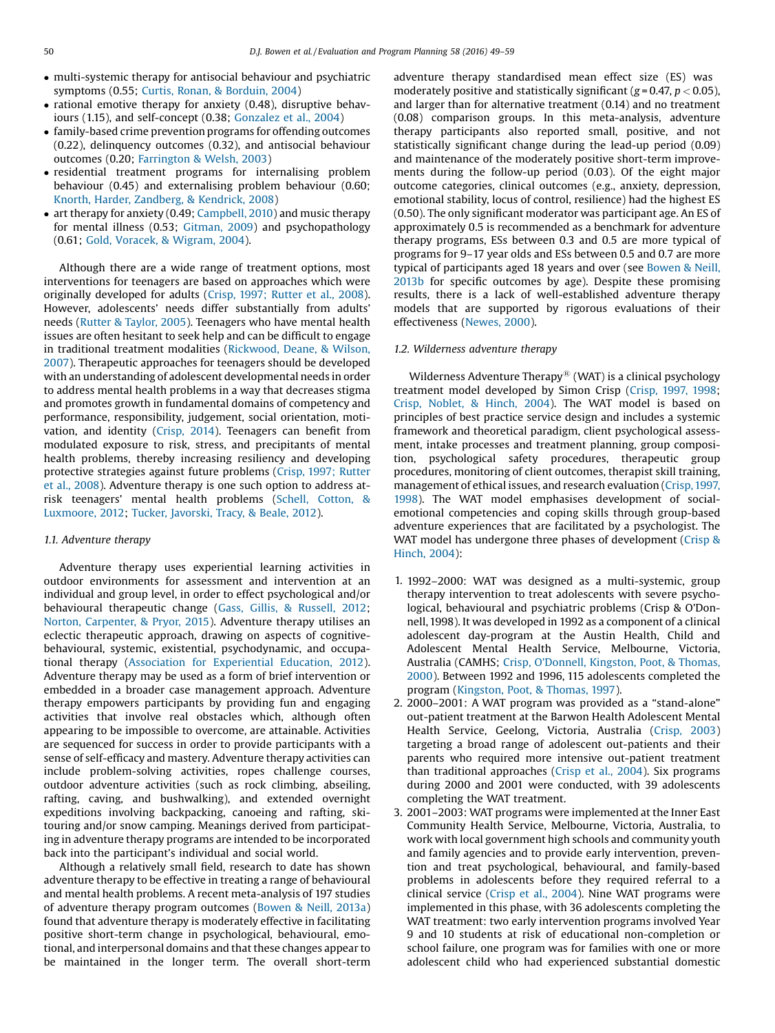- multi-systemic therapy for antisocial behaviour and psychiatric symptoms (0.55; Curtis, Ronan, & [Borduin,](#page-9-0) 2004)
- rational emotive therapy for anxiety (0.48), disruptive behaviours (1.15), and self-concept (0.38; [Gonzalez](#page-10-0) et al., 2004)
- family-based crime prevention programs for offending outcomes (0.22), delinquency outcomes (0.32), and antisocial behaviour outcomes (0.20; [Farrington](#page-9-0) & Welsh, 2003)
- residential treatment programs for internalising problem behaviour (0.45) and externalising problem behaviour (0.60; Knorth, Harder, [Zandberg,](#page-10-0) & Kendrick, 2008)
- art therapy for anxiety (0.49; [Campbell,](#page-9-0) 2010) and music therapy for mental illness (0.53; [Gitman,](#page-9-0) 2009) and psychopathology (0.61; Gold, Voracek, & [Wigram,](#page-10-0) 2004).

Although there are a wide range of treatment options, most interventions for teenagers are based on approaches which were originally developed for adults (Crisp, 1997; [Rutter](#page-9-0) et al., 2008). However, adolescents' needs differ substantially from adults' needs (Rutter & [Taylor,](#page-10-0) 2005). Teenagers who have mental health issues are often hesitant to seek help and can be difficult to engage in traditional treatment modalities [\(Rickwood,](#page-10-0) Deane, & Wilson, [2007](#page-10-0)). Therapeutic approaches for teenagers should be developed with an understanding of adolescent developmental needs in order to address mental health problems in a way that decreases stigma and promotes growth in fundamental domains of competency and performance, responsibility, judgement, social orientation, motivation, and identity [\(Crisp,](#page-9-0) 2014). Teenagers can benefit from modulated exposure to risk, stress, and precipitants of mental health problems, thereby increasing resiliency and developing protective strategies against future problems (Crisp, 1997; [Rutter](#page-9-0) et al., [2008](#page-9-0)). Adventure therapy is one such option to address atrisk teenagers' mental health problems (Schell, [Cotton,](#page-10-0) & [Luxmoore,](#page-10-0) 2012; Tucker, [Javorski,](#page-10-0) Tracy, & Beale, 2012).

#### 1.1. Adventure therapy

Adventure therapy uses experiential learning activities in outdoor environments for assessment and intervention at an individual and group level, in order to effect psychological and/or behavioural therapeutic change (Gass, Gillis, & [Russell,](#page-9-0) 2012; Norton, [Carpenter,](#page-10-0) & Pryor, 2015). Adventure therapy utilises an eclectic therapeutic approach, drawing on aspects of cognitivebehavioural, systemic, existential, psychodynamic, and occupational therapy (Association for [Experiential](#page-9-0) Education, 2012). Adventure therapy may be used as a form of brief intervention or embedded in a broader case management approach. Adventure therapy empowers participants by providing fun and engaging activities that involve real obstacles which, although often appearing to be impossible to overcome, are attainable. Activities are sequenced for success in order to provide participants with a sense of self-efficacy and mastery. Adventure therapy activities can include problem-solving activities, ropes challenge courses, outdoor adventure activities (such as rock climbing, abseiling, rafting, caving, and bushwalking), and extended overnight expeditions involving backpacking, canoeing and rafting, skitouring and/or snow camping. Meanings derived from participating in adventure therapy programs are intended to be incorporated back into the participant's individual and social world.

Although a relatively small field, research to date has shown adventure therapy to be effective in treating a range of behavioural and mental health problems. A recent meta-analysis of 197 studies of adventure therapy program outcomes ([Bowen](#page-9-0) & Neill, 2013a) found that adventure therapy is moderately effective in facilitating positive short-term change in psychological, behavioural, emotional, and interpersonal domains and that these changes appear to be maintained in the longer term. The overall short-term adventure therapy standardised mean effect size (ES) was moderately positive and statistically significant ( $g = 0.47$ ,  $p < 0.05$ ), and larger than for alternative treatment (0.14) and no treatment (0.08) comparison groups. In this meta-analysis, adventure therapy participants also reported small, positive, and not statistically significant change during the lead-up period (0.09) and maintenance of the moderately positive short-term improvements during the follow-up period (0.03). Of the eight major outcome categories, clinical outcomes (e.g., anxiety, depression, emotional stability, locus of control, resilience) had the highest ES (0.50). The only significant moderator was participant age. An ES of approximately 0.5 is recommended as a benchmark for adventure therapy programs, ESs between 0.3 and 0.5 are more typical of programs for 9–17 year olds and ESs between 0.5 and 0.7 are more typical of participants aged 18 years and over (see [Bowen](#page-9-0) & Neill, [2013b](#page-9-0) for specific outcomes by age). Despite these promising results, there is a lack of well-established adventure therapy models that are supported by rigorous evaluations of their effectiveness ([Newes,](#page-10-0) 2000).

#### 1.2. Wilderness adventure therapy

Wilderness Adventure Therapy $\mathcal{B}$  (WAT) is a clinical psychology treatment model developed by Simon Crisp [\(Crisp,](#page-9-0) 1997, 1998; Crisp, [Noblet,](#page-9-0) & Hinch, 2004). The WAT model is based on principles of best practice service design and includes a systemic framework and theoretical paradigm, client psychological assessment, intake processes and treatment planning, group composition, psychological safety procedures, therapeutic group procedures, monitoring of client outcomes, therapist skill training, management of ethical issues, and research evaluation ([Crisp, 1997,](#page-9-0) [1998](#page-9-0)). The WAT model emphasises development of socialemotional competencies and coping skills through group-based adventure experiences that are facilitated by a psychologist. The WAT model has undergone three phases of development [\(Crisp](#page-9-0) & [Hinch,](#page-9-0) 2004):

- 1. 1992–2000: WAT was designed as a multi-systemic, group therapy intervention to treat adolescents with severe psychological, behavioural and psychiatric problems (Crisp & O'Donnell,1998). It was developed in 1992 as a component of a clinical adolescent day-program at the Austin Health, Child and Adolescent Mental Health Service, Melbourne, Victoria, Australia (CAMHS; Crisp, O'Donnell, [Kingston,](#page-9-0) Poot, & Thomas, [2000\)](#page-9-0). Between 1992 and 1996, 115 adolescents completed the program [\(Kingston,](#page-10-0) Poot, & Thomas, 1997).
- 2. 2000–2001: A WAT program was provided as a "stand-alone" out-patient treatment at the Barwon Health Adolescent Mental Health Service, Geelong, Victoria, Australia ([Crisp,](#page-9-0) 2003) targeting a broad range of adolescent out-patients and their parents who required more intensive out-patient treatment than traditional approaches [\(Crisp](#page-9-0) et al., 2004). Six programs during 2000 and 2001 were conducted, with 39 adolescents completing the WAT treatment.
- 3. 2001–2003: WAT programs were implemented at the Inner East Community Health Service, Melbourne, Victoria, Australia, to work with local government high schools and community youth and family agencies and to provide early intervention, prevention and treat psychological, behavioural, and family-based problems in adolescents before they required referral to a clinical service (Crisp et al., [2004\)](#page-9-0). Nine WAT programs were implemented in this phase, with 36 adolescents completing the WAT treatment: two early intervention programs involved Year 9 and 10 students at risk of educational non-completion or school failure, one program was for families with one or more adolescent child who had experienced substantial domestic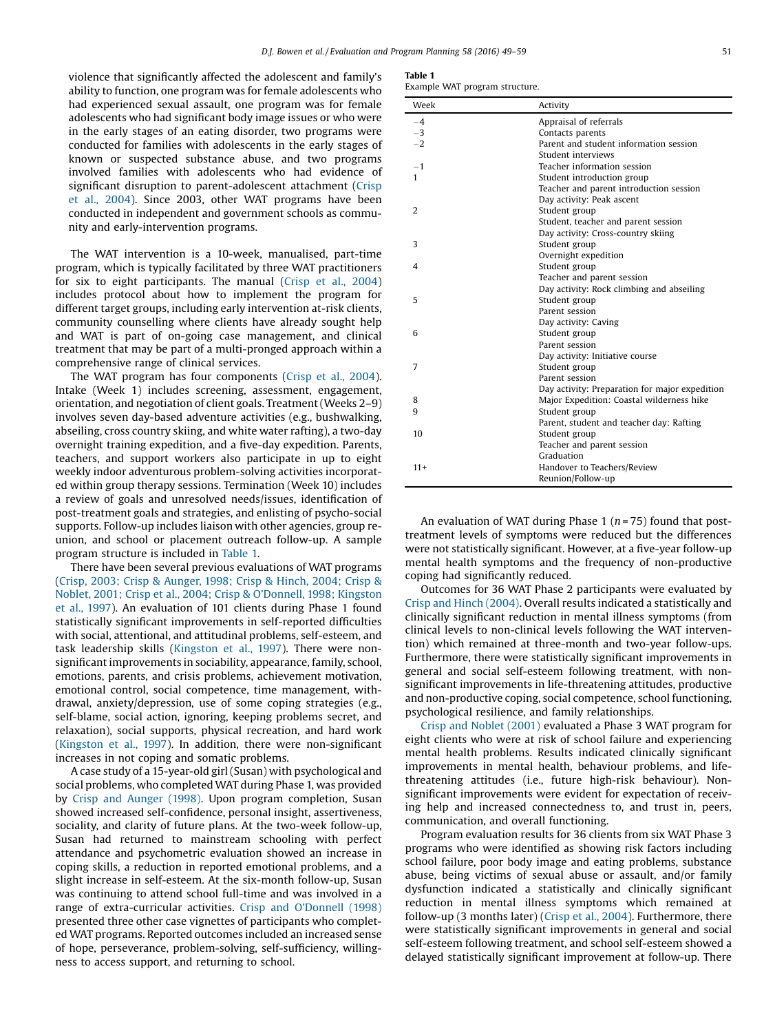violence that significantly affected the adolescent and family's ability to function, one program was for female adolescents who had experienced sexual assault, one program was for female adolescents who had significant body image issues or who were in the early stages of an eating disorder, two programs were conducted for families with adolescents in the early stages of known or suspected substance abuse, and two programs involved families with adolescents who had evidence of significant disruption to parent-adolescent attachment [\(Crisp](#page-9-0) et al., [2004](#page-9-0)). Since 2003, other WAT programs have been conducted in independent and government schools as community and early-intervention programs.

The WAT intervention is a 10-week, manualised, part-time program, which is typically facilitated by three WAT practitioners for six to eight participants. The manual (Crisp et al., [2004](#page-9-0)) includes protocol about how to implement the program for different target groups, including early intervention at-risk clients, community counselling where clients have already sought help and WAT is part of on-going case management, and clinical treatment that may be part of a multi-pronged approach within a comprehensive range of clinical services.

The WAT program has four components [\(Crisp](#page-9-0) et al., 2004). Intake (Week 1) includes screening, assessment, engagement, orientation, and negotiation of client goals. Treatment(Weeks 2–9) involves seven day-based adventure activities (e.g., bushwalking, abseiling, cross country skiing, and white water rafting), a two-day overnight training expedition, and a five-day expedition. Parents, teachers, and support workers also participate in up to eight weekly indoor adventurous problem-solving activities incorporated within group therapy sessions. Termination (Week 10) includes a review of goals and unresolved needs/issues, identification of post-treatment goals and strategies, and enlisting of psycho-social supports. Follow-up includes liaison with other agencies, group reunion, and school or placement outreach follow-up. A sample program structure is included in Table 1.

There have been several previous evaluations of WAT programs (Crisp, 2003; Crisp & [Aunger,](#page-9-0) 1998; Crisp & Hinch, 2004; Crisp & Noblet, 2001; Crisp et al., 2004; Crisp & [O'Donnell,](#page-9-0) 1998; Kingston et al., [1997\)](#page-9-0). An evaluation of 101 clients during Phase 1 found statistically significant improvements in self-reported difficulties with social, attentional, and attitudinal problems, self-esteem, and task leadership skills ([Kingston](#page-10-0) et al., 1997). There were nonsignificant improvements in sociability, appearance, family, school, emotions, parents, and crisis problems, achievement motivation, emotional control, social competence, time management, withdrawal, anxiety/depression, use of some coping strategies (e.g., self-blame, social action, ignoring, keeping problems secret, and relaxation), social supports, physical recreation, and hard work ([Kingston](#page-10-0) et al., 1997). In addition, there were non-significant increases in not coping and somatic problems.

A case study of a 15-year-old girl(Susan) with psychological and social problems, who completed WAT during Phase 1, was provided by Crisp and [Aunger](#page-9-0) (1998). Upon program completion, Susan showed increased self-confidence, personal insight, assertiveness, sociality, and clarity of future plans. At the two-week follow-up, Susan had returned to mainstream schooling with perfect attendance and psychometric evaluation showed an increase in coping skills, a reduction in reported emotional problems, and a slight increase in self-esteem. At the six-month follow-up, Susan was continuing to attend school full-time and was involved in a range of extra-curricular activities. Crisp and O'[Donnell](#page-9-0) (1998) presented three other case vignettes of participants who completed WAT programs. Reported outcomes included an increased sense of hope, perseverance, problem-solving, self-sufficiency, willingness to access support, and returning to school.

# Table 1

Example WAT program structure.

| Week           | Activity                                       |
|----------------|------------------------------------------------|
| $-4$           | Appraisal of referrals                         |
| $-3$           | Contacts parents                               |
| $-2$           | Parent and student information session         |
|                | Student interviews                             |
| $-1$           | Teacher information session                    |
| 1              | Student introduction group                     |
|                | Teacher and parent introduction session        |
|                | Day activity: Peak ascent                      |
| $\overline{2}$ | Student group                                  |
|                | Student, teacher and parent session            |
|                | Day activity: Cross-country skiing             |
| 3              | Student group                                  |
|                | Overnight expedition                           |
| 4              | Student group                                  |
|                | Teacher and parent session                     |
|                | Day activity: Rock climbing and abseiling      |
| 5              | Student group                                  |
|                | Parent session                                 |
|                | Day activity: Caving                           |
| 6              | Student group                                  |
|                | Parent session                                 |
|                | Day activity: Initiative course                |
| 7              | Student group                                  |
|                | Parent session                                 |
|                | Day activity: Preparation for major expedition |
| 8              | Major Expedition: Coastal wilderness hike      |
| 9              | Student group                                  |
|                | Parent, student and teacher day: Rafting       |
| 10             | Student group                                  |
|                | Teacher and parent session                     |
|                | Graduation                                     |
| $11+$          | Handover to Teachers/Review                    |
|                | Reunion/Follow-up                              |

An evaluation of WAT during Phase 1 ( $n = 75$ ) found that posttreatment levels of symptoms were reduced but the differences were not statistically significant. However, at a five-year follow-up mental health symptoms and the frequency of non-productive coping had significantly reduced.

Outcomes for 36 WAT Phase 2 participants were evaluated by Crisp and Hinch [\(2004\)](#page-9-0). Overall results indicated a statistically and clinically significant reduction in mental illness symptoms (from clinical levels to non-clinical levels following the WAT intervention) which remained at three-month and two-year follow-ups. Furthermore, there were statistically significant improvements in general and social self-esteem following treatment, with nonsignificant improvements in life-threatening attitudes, productive and non-productive coping, social competence, school functioning, psychological resilience, and family relationships.

Crisp and [Noblet](#page-9-0) (2001) evaluated a Phase 3 WAT program for eight clients who were at risk of school failure and experiencing mental health problems. Results indicated clinically significant improvements in mental health, behaviour problems, and lifethreatening attitudes (i.e., future high-risk behaviour). Nonsignificant improvements were evident for expectation of receiving help and increased connectedness to, and trust in, peers, communication, and overall functioning.

Program evaluation results for 36 clients from six WAT Phase 3 programs who were identified as showing risk factors including school failure, poor body image and eating problems, substance abuse, being victims of sexual abuse or assault, and/or family dysfunction indicated a statistically and clinically significant reduction in mental illness symptoms which remained at follow-up (3 months later) (Crisp et al., [2004](#page-9-0)). Furthermore, there were statistically significant improvements in general and social self-esteem following treatment, and school self-esteem showed a delayed statistically significant improvement at follow-up. There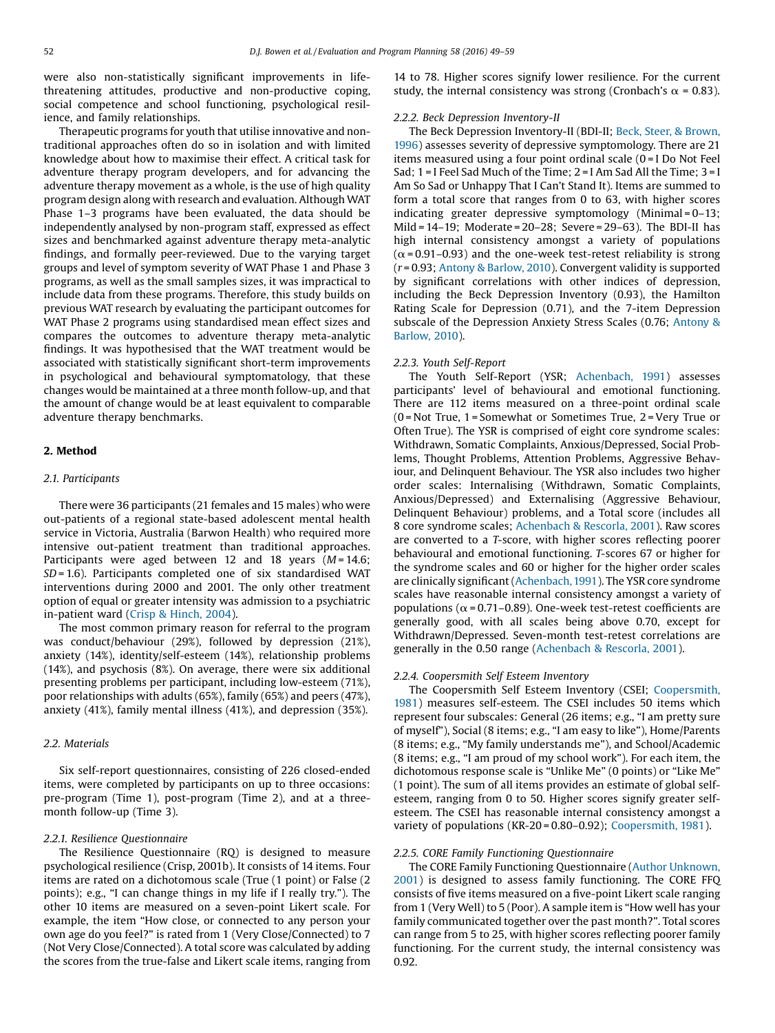were also non-statistically significant improvements in lifethreatening attitudes, productive and non-productive coping, social competence and school functioning, psychological resilience, and family relationships.

Therapeutic programs for youth that utilise innovative and nontraditional approaches often do so in isolation and with limited knowledge about how to maximise their effect. A critical task for adventure therapy program developers, and for advancing the adventure therapy movement as a whole, is the use of high quality program design along with research and evaluation. Although WAT Phase 1–3 programs have been evaluated, the data should be independently analysed by non-program staff, expressed as effect sizes and benchmarked against adventure therapy meta-analytic findings, and formally peer-reviewed. Due to the varying target groups and level of symptom severity of WAT Phase 1 and Phase 3 programs, as well as the small samples sizes, it was impractical to include data from these programs. Therefore, this study builds on previous WAT research by evaluating the participant outcomes for WAT Phase 2 programs using standardised mean effect sizes and compares the outcomes to adventure therapy meta-analytic findings. It was hypothesised that the WAT treatment would be associated with statistically significant short-term improvements in psychological and behavioural symptomatology, that these changes would be maintained at a three month follow-up, and that the amount of change would be at least equivalent to comparable adventure therapy benchmarks.

# 2. Method

# 2.1. Participants

There were 36 participants (21 females and 15 males) who were out-patients of a regional state-based adolescent mental health service in Victoria, Australia (Barwon Health) who required more intensive out-patient treatment than traditional approaches. Participants were aged between 12 and 18 years  $(M = 14.6;$  $SD = 1.6$ ). Participants completed one of six standardised WAT interventions during 2000 and 2001. The only other treatment option of equal or greater intensity was admission to a psychiatric in-patient ward (Crisp & [Hinch,](#page-9-0) 2004).

The most common primary reason for referral to the program was conduct/behaviour (29%), followed by depression (21%), anxiety (14%), identity/self-esteem (14%), relationship problems (14%), and psychosis (8%). On average, there were six additional presenting problems per participant, including low-esteem (71%), poor relationships with adults (65%), family (65%) and peers (47%), anxiety (41%), family mental illness (41%), and depression (35%).

# 2.2. Materials

Six self-report questionnaires, consisting of 226 closed-ended items, were completed by participants on up to three occasions: pre-program (Time 1), post-program (Time 2), and at a threemonth follow-up (Time 3).

### 2.2.1. Resilience Questionnaire

The Resilience Questionnaire (RQ) is designed to measure psychological resilience (Crisp, 2001b). It consists of 14 items. Four items are rated on a dichotomous scale (True (1 point) or False (2 points); e.g., "I can change things in my life if I really try."). The other 10 items are measured on a seven-point Likert scale. For example, the item "How close, or connected to any person your own age do you feel?" is rated from 1 (Very Close/Connected) to 7 (Not Very Close/Connected). A total score was calculated by adding the scores from the true-false and Likert scale items, ranging from 14 to 78. Higher scores signify lower resilience. For the current study, the internal consistency was strong (Cronbach's  $\alpha$  = 0.83).

# 2.2.2. Beck Depression Inventory-II

The Beck Depression Inventory-II (BDI-II; Beck, Steer, & [Brown,](#page-9-0) [1996](#page-9-0)) assesses severity of depressive symptomology. There are 21 items measured using a four point ordinal scale (0 = I Do Not Feel Sad; 1 = I Feel Sad Much of the Time; 2 = I Am Sad All the Time; 3 = I Am So Sad or Unhappy That I Can't Stand It). Items are summed to form a total score that ranges from 0 to 63, with higher scores indicating greater depressive symptomology (Minimal = 0–13; Mild = 14–19; Moderate = 20–28; Severe = 29–63). The BDI-II has high internal consistency amongst a variety of populations  $(\alpha = 0.91 - 0.93)$  and the one-week test-retest reliability is strong (r = 0.93; Antony & [Barlow,](#page-9-0) 2010). Convergent validity is supported by significant correlations with other indices of depression, including the Beck Depression Inventory (0.93), the Hamilton Rating Scale for Depression (0.71), and the 7-item Depression subscale of the Depression Anxiety Stress Scales (0.76; [Antony](#page-9-0) & [Barlow,](#page-9-0) 2010).

#### 2.2.3. Youth Self-Report

The Youth Self-Report (YSR; [Achenbach,](#page-9-0) 1991) assesses participants' level of behavioural and emotional functioning. There are 112 items measured on a three-point ordinal scale (0 = Not True, 1 = Somewhat or Sometimes True, 2 = Very True or Often True). The YSR is comprised of eight core syndrome scales: Withdrawn, Somatic Complaints, Anxious/Depressed, Social Problems, Thought Problems, Attention Problems, Aggressive Behaviour, and Delinquent Behaviour. The YSR also includes two higher order scales: Internalising (Withdrawn, Somatic Complaints, Anxious/Depressed) and Externalising (Aggressive Behaviour, Delinquent Behaviour) problems, and a Total score (includes all 8 core syndrome scales; [Achenbach](#page-9-0) & Rescorla, 2001). Raw scores are converted to a T-score, with higher scores reflecting poorer behavioural and emotional functioning. T-scores 67 or higher for the syndrome scales and 60 or higher for the higher order scales are clinically significant[\(Achenbach,1991](#page-9-0)). The YSR core syndrome scales have reasonable internal consistency amongst a variety of populations ( $\alpha$  = 0.71–0.89). One-week test-retest coefficients are generally good, with all scales being above 0.70, except for Withdrawn/Depressed. Seven-month test-retest correlations are generally in the 0.50 range [\(Achenbach](#page-9-0) & Rescorla, 2001).

# 2.2.4. Coopersmith Self Esteem Inventory

The Coopersmith Self Esteem Inventory (CSEI; [Coopersmith,](#page-9-0) [1981](#page-9-0)) measures self-esteem. The CSEI includes 50 items which represent four subscales: General (26 items; e.g., "I am pretty sure of myself"), Social (8 items; e.g., "I am easy to like"), Home/Parents (8 items; e.g., "My family understands me"), and School/Academic (8 items; e.g., "I am proud of my school work"). For each item, the dichotomous response scale is "Unlike Me" (0 points) or "Like Me" (1 point). The sum of all items provides an estimate of global selfesteem, ranging from 0 to 50. Higher scores signify greater selfesteem. The CSEI has reasonable internal consistency amongst a variety of populations (KR-20 = 0.80–0.92); [Coopersmith,](#page-9-0) 1981).

#### 2.2.5. CORE Family Functioning Questionnaire

The CORE Family Functioning Questionnaire (Author [Unknown,](#page-9-0) [2001](#page-9-0)) is designed to assess family functioning. The CORE FFQ consists of five items measured on a five-point Likert scale ranging from 1 (Very Well) to 5 (Poor). A sample item is "How well has your family communicated together over the past month?". Total scores can range from 5 to 25, with higher scores reflecting poorer family functioning. For the current study, the internal consistency was 0.92.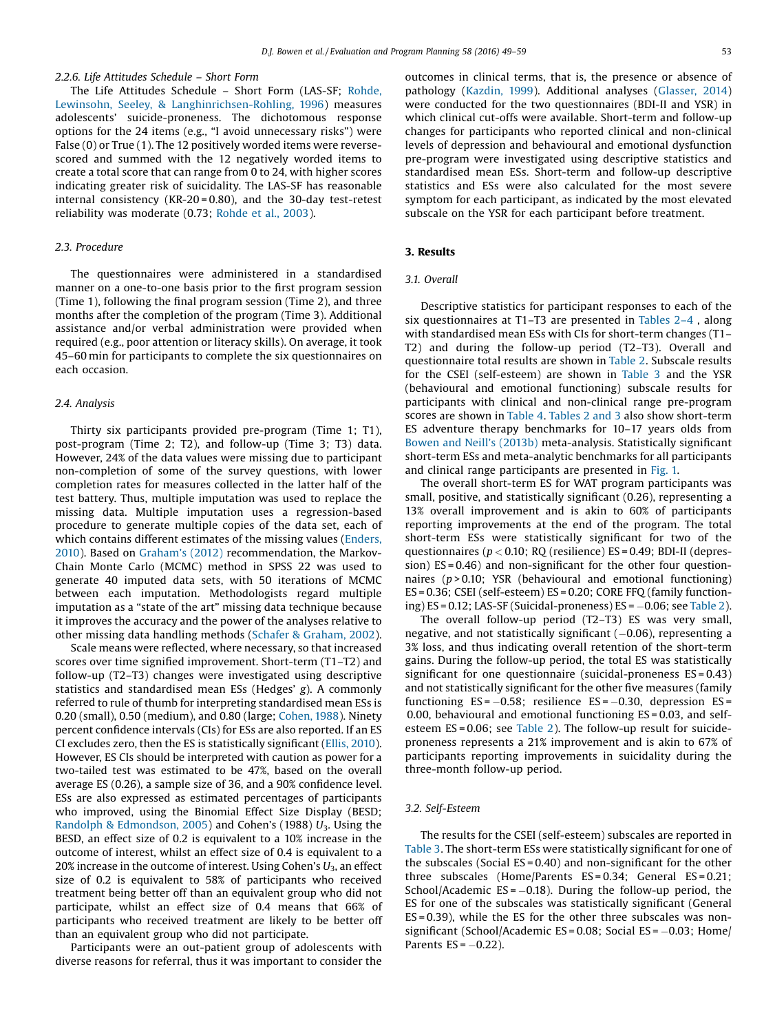## 2.2.6. Life Attitudes Schedule – Short Form

The Life Attitudes Schedule – Short Form (LAS-SF; [Rohde,](#page-10-0) Lewinsohn, Seeley, & [Langhinrichsen-Rohling,](#page-10-0) 1996) measures adolescents' suicide-proneness. The dichotomous response options for the 24 items (e.g., "I avoid unnecessary risks") were False (0) or True (1). The 12 positively worded items were reversescored and summed with the 12 negatively worded items to create a total score that can range from 0 to 24, with higher scores indicating greater risk of suicidality. The LAS-SF has reasonable internal consistency (KR-20 = 0.80), and the 30-day test-retest reliability was moderate (0.73; [Rohde](#page-10-0) et al., 2003).

# 2.3. Procedure

The questionnaires were administered in a standardised manner on a one-to-one basis prior to the first program session (Time 1), following the final program session (Time 2), and three months after the completion of the program (Time 3). Additional assistance and/or verbal administration were provided when required (e.g., poor attention or literacy skills). On average, it took 45–60 min for participants to complete the six questionnaires on each occasion.

#### 2.4. Analysis

Thirty six participants provided pre-program (Time 1; T1), post-program (Time 2; T2), and follow-up (Time 3; T3) data. However, 24% of the data values were missing due to participant non-completion of some of the survey questions, with lower completion rates for measures collected in the latter half of the test battery. Thus, multiple imputation was used to replace the missing data. Multiple imputation uses a regression-based procedure to generate multiple copies of the data set, each of which contains different estimates of the missing values [\(Enders,](#page-9-0) [2010](#page-9-0)). Based on [Graham](#page-10-0)'s (2012) recommendation, the Markov-Chain Monte Carlo (MCMC) method in SPSS 22 was used to generate 40 imputed data sets, with 50 iterations of MCMC between each imputation. Methodologists regard multiple imputation as a "state of the art" missing data technique because it improves the accuracy and the power of the analyses relative to other missing data handling methods (Schafer & [Graham,](#page-10-0) 2002).

Scale means were reflected, where necessary, so that increased scores over time signified improvement. Short-term (T1–T2) and follow-up (T2–T3) changes were investigated using descriptive statistics and standardised mean ESs (Hedges' g). A commonly referred to rule of thumb for interpreting standardised mean ESs is 0.20 (small), 0.50 (medium), and 0.80 (large; [Cohen,](#page-9-0) 1988). Ninety percent confidence intervals (CIs) for ESs are also reported. If an ES CI excludes zero, then the ES is statistically significant (Ellis, [2010](#page-9-0)). However, ES CIs should be interpreted with caution as power for a two-tailed test was estimated to be 47%, based on the overall average ES (0.26), a sample size of 36, and a 90% confidence level. ESs are also expressed as estimated percentages of participants who improved, using the Binomial Effect Size Display (BESD; Randolph & [Edmondson,](#page-10-0) 2005) and Cohen's (1988)  $U_3$ . Using the BESD, an effect size of 0.2 is equivalent to a 10% increase in the outcome of interest, whilst an effect size of 0.4 is equivalent to a 20% increase in the outcome of interest. Using Cohen's  $U_3$ , an effect size of 0.2 is equivalent to 58% of participants who received treatment being better off than an equivalent group who did not participate, whilst an effect size of 0.4 means that 66% of participants who received treatment are likely to be better off than an equivalent group who did not participate.

Participants were an out-patient group of adolescents with diverse reasons for referral, thus it was important to consider the outcomes in clinical terms, that is, the presence or absence of pathology [\(Kazdin,](#page-10-0) 1999). Additional analyses ([Glasser,](#page-10-0) 2014) were conducted for the two questionnaires (BDI-II and YSR) in which clinical cut-offs were available. Short-term and follow-up changes for participants who reported clinical and non-clinical levels of depression and behavioural and emotional dysfunction pre-program were investigated using descriptive statistics and standardised mean ESs. Short-term and follow-up descriptive statistics and ESs were also calculated for the most severe symptom for each participant, as indicated by the most elevated subscale on the YSR for each participant before treatment.

#### 3. Results

#### 3.1. Overall

Descriptive statistics for participant responses to each of the six questionnaires at T1–T3 are presented in [Tables](#page-5-0) 2–4 , along with standardised mean ESs with CIs for short-term changes (T1– T2) and during the follow-up period (T2–T3). Overall and questionnaire total results are shown in [Table](#page-5-0) 2. Subscale results for the CSEI (self-esteem) are shown in [Table](#page-5-0) 3 and the YSR (behavioural and emotional functioning) subscale results for participants with clinical and non-clinical range pre-program scores are shown in [Table](#page-5-0) 4. [Tables](#page-5-0) 2 and 3 also show short-term ES adventure therapy benchmarks for 10–17 years olds from Bowen and Neill's [\(2013b\)](#page-9-0) meta-analysis. Statistically significant short-term ESs and meta-analytic benchmarks for all participants and clinical range participants are presented in [Fig.](#page-6-0) 1.

The overall short-term ES for WAT program participants was small, positive, and statistically significant (0.26), representing a 13% overall improvement and is akin to 60% of participants reporting improvements at the end of the program. The total short-term ESs were statistically significant for two of the questionnaires ( $p < 0.10$ ; RQ (resilience) ES = 0.49; BDI-II (depression) ES = 0.46) and non-significant for the other four questionnaires ( $p > 0.10$ ; YSR (behavioural and emotional functioning) ES = 0.36; CSEI (self-esteem) ES = 0.20; CORE FFQ (family functioning) ES = 0.12; LAS-SF (Suicidal-proneness) ES =  $-0.06$ ; see [Table](#page-5-0) 2).

The overall follow-up period (T2–T3) ES was very small, negative, and not statistically significant  $(-0.06)$ , representing a 3% loss, and thus indicating overall retention of the short-term gains. During the follow-up period, the total ES was statistically significant for one questionnaire (suicidal-proneness ES = 0.43) and not statistically significant for the other five measures (family functioning  $ES = -0.58$ ; resilience  $ES = -0.30$ , depression  $ES =$ 0.00, behavioural and emotional functioning ES = 0.03, and selfesteem ES = 0.06; see [Table](#page-5-0) 2). The follow-up result for suicideproneness represents a 21% improvement and is akin to 67% of participants reporting improvements in suicidality during the three-month follow-up period.

#### 3.2. Self-Esteem

The results for the CSEI (self-esteem) subscales are reported in [Table](#page-5-0) 3. The short-term ESs were statistically significant for one of the subscales (Social  $ES = 0.40$ ) and non-significant for the other three subscales (Home/Parents ES = 0.34; General ES = 0.21; School/Academic  $ES = -0.18$ ). During the follow-up period, the ES for one of the subscales was statistically significant (General ES = 0.39), while the ES for the other three subscales was nonsignificant (School/Academic ES =  $0.08$ ; Social ES =  $-0.03$ ; Home/ Parents  $ES = -0.22$ ).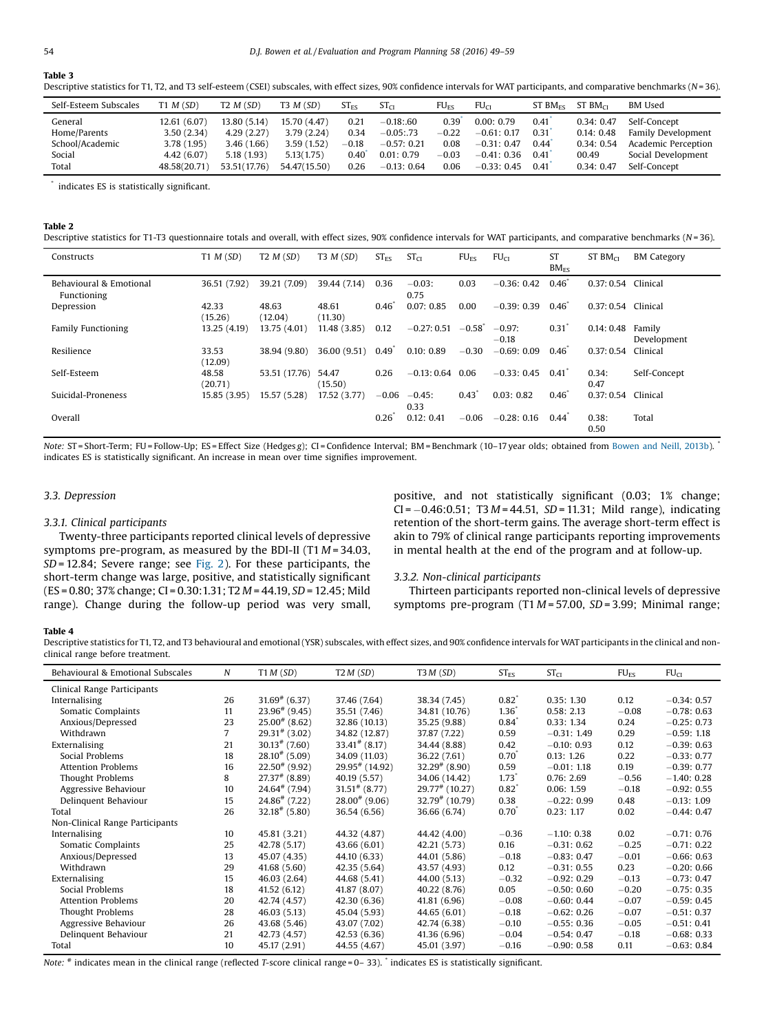# <span id="page-5-0"></span>Table 3

Descriptive statistics for T1, T2, and T3 self-esteem (CSEI) subscales, with effect sizes, 90% confidence intervals for WAT participants, and comparative benchmarks ( $N=36$ ).

| Self-Esteem Subscales | T1 M(SD)     | T2 M(SD)     | T3 M(SD)     | $ST_{FS}$ | ST <sub>CI</sub> | $FU_{FS}$ | FU <sub>CI</sub> | $ST$ BM <sub>FS</sub> | $ST$ BM $_{CI}$ | <b>BM</b> Used      |
|-----------------------|--------------|--------------|--------------|-----------|------------------|-----------|------------------|-----------------------|-----------------|---------------------|
| General               | 12.61 (6.07) | 13.80 (5.14) | 15.70 (4.47) | 0.21      | $-0.18:60$       | 0.39      | 0.00:0.79        | 0.41                  | 0.34:0.47       | Self-Concept        |
| Home/Parents          | 3.50(2.34)   | 4.29(2.27)   | 3.79(2.24)   | 0.34      | $-0.05:73$       | $-0.22$   | $-0.61:0.17$     | 0.31                  | 0.14:0.48       | Family Development  |
| School/Academic       | 3.78 (1.95)  | 3.46(1.66)   | 3.59(1.52)   | $-0.18$   | $-0.57:0.21$     | 0.08      | $-0.31:0.47$     | 0.44                  | 0.34:0.54       | Academic Perception |
| Social                | 4.42 (6.07)  | 5.18(1.93)   | 5.13(1.75)   | 0.40      | 0.01:0.79        | $-0.03$   | $-0.41:0.36$     | 0.41                  | 00.49           | Social Development  |
| Total                 | 48.58(20.71  | 53.51(17.76) | 54.47(15.50) | 0.26      | $-0.13:0.64$     | 0.06      | $-0.33:0.45$     | 0.41                  | 0.34:0.47       | Self-Concept        |

\* indicates ES is statistically significant.

#### Table 2

| Descriptive statistics for T1-T3 questionnaire totals and overall, with effect sizes, 90% confidence intervals for WAT participants, and comparative benchmarks ( $N=36$ ) |  |  |  |
|----------------------------------------------------------------------------------------------------------------------------------------------------------------------------|--|--|--|
|                                                                                                                                                                            |  |  |  |

| Constructs                             | T1 M(SD)         | T2 M(SD)         | T3 M(SD)         | ST <sub>FS</sub> | ST <sub>CI</sub>  | FU <sub>FS</sub>     | FU <sub>CI</sub>    | ST<br>$BM_{FS}$  | $ST$ BM $_{CI}$     | <b>BM Category</b>    |
|----------------------------------------|------------------|------------------|------------------|------------------|-------------------|----------------------|---------------------|------------------|---------------------|-----------------------|
| Behavioural & Emotional<br>Functioning | 36.51 (7.92)     | 39.21 (7.09)     | 39.44 (7.14)     | 0.36             | $-0.03:$<br>0.75  | 0.03                 | $-0.36:0.42$        | $0.46^*$         | 0.37:0.54           | Clinical              |
| Depression                             | 42.33<br>(15.26) | 48.63<br>(12.04) | 48.61<br>(11.30) | $0.46^{\degree}$ | 0.07:0.85         | 0.00                 | $-0.39:0.39$        | $0.46^{\degree}$ | 0.37: 0.54 Clinical |                       |
| <b>Family Functioning</b>              | 13.25 (4.19)     | 13.75 (4.01)     | 11.48 (3.85)     | 0.12             | $-0.27:0.51$      | $-0.58$ <sup>*</sup> | $-0.97:$<br>$-0.18$ | 0.31             | 0.14:0.48           | Family<br>Development |
| Resilience                             | 33.53<br>(12.09) | 38.94 (9.80)     | 36.00 (9.51)     | $0.49^{\degree}$ | 0.10:0.89         | $-0.30$              | $-0.69:0.09$        | $0.46^{\degree}$ | 0.37:0.54           | Clinical              |
| Self-Esteem                            | 48.58<br>(20.71) | 53.51 (17.76)    | 54.47<br>(15.50) | 0.26             | $-0.13:0.64$ 0.06 |                      | $-0.33:0.45$        | $0.41^{\degree}$ | 0.34:<br>0.47       | Self-Concept          |
| Suicidal-Proneness                     | 15.85 (3.95)     | 15.57 (5.28)     | 17.52 (3.77)     | $-0.06$          | $-0.45:$<br>0.33  | 0.43                 | 0.03:0.82           | $0.46^{\degree}$ | 0.37:0.54           | Clinical              |
| Overall                                |                  |                  |                  | 0.26             | 0.12:0.41         | $-0.06$              | $-0.28:0.16$        | 0.44             | 0.38:<br>0.50       | Total                 |

Note: ST = Short-Term; FU = Follow-Up; ES = Effect Size (Hedges g); CI = Confidence Interval; BM = Benchmark (10-17 year olds; obtained from [Bowen](#page-9-0) and Neill, 2013b). \* indicates ES is statistically significant. An increase in mean over time signifies improvement.

# 3.3. Depression

#### 3.3.1. Clinical participants

Twenty-three participants reported clinical levels of depressive symptoms pre-program, as measured by the BDI-II (T1 $M = 34.03$ , SD= 12.84; Severe range; see [Fig.](#page-6-0) 2). For these participants, the short-term change was large, positive, and statistically significant (ES = 0.80; 37% change; CI = 0.30:1.31; T2 M = 44.19, SD= 12.45; Mild range). Change during the follow-up period was very small, positive, and not statistically significant (0.03; 1% change;  $CI = -0.46:0.51$ ; T3  $M = 44.51$ ,  $SD = 11.31$ ; Mild range), indicating retention of the short-term gains. The average short-term effect is akin to 79% of clinical range participants reporting improvements in mental health at the end of the program and at follow-up.

#### 3.3.2. Non-clinical participants

Thirteen participants reported non-clinical levels of depressive symptoms pre-program  $(T1 M = 57.00, SD = 3.99;$  Minimal range;

# Table 4

Descriptive statistics for T1, T2, and T3 behavioural and emotional (YSR) subscales, with effect sizes, and 90% confidence intervals for WAT participants in the clinical and nonclinical range before treatment.

| Behavioural & Emotional Subscales | N              | T1 M (SD)                   | T2M(SD)                      | T3M(SD)                      | $ST_{ES}$           | ST <sub>CI</sub> | $FU_{ES}$ | FU <sub>CI</sub> |
|-----------------------------------|----------------|-----------------------------|------------------------------|------------------------------|---------------------|------------------|-----------|------------------|
| Clinical Range Participants       |                |                             |                              |                              |                     |                  |           |                  |
| Internalising                     | 26             | $31.69^{\#}$ (6.37)         | 37.46 (7.64)                 | 38.34 (7.45)                 | $0.82^{\degree}$    | 0.35:1.30        | 0.12      | $-0.34:0.57$     |
| Somatic Complaints                | 11             | $23.96^{\#}$ (9.45)         | 35.51 (7.46)                 | 34.81 (10.76)                | $1.36^\circ$        | 0.58:2.13        | $-0.08$   | $-0.78:0.63$     |
| Anxious/Depressed                 | 23             | $25.00^{#}$ (8.62)          | 32.86 (10.13)                | 35.25 (9.88)                 | $0.84^{\degree}$    | 0.33:1.34        | 0.24      | $-0.25:0.73$     |
| Withdrawn                         | $\overline{7}$ | $29.31^{\#}$ (3.02)         | 34.82 (12.87)                | 37.87 (7.22)                 | 0.59                | $-0.31:1.49$     | 0.29      | $-0.59:1.18$     |
| Externalising                     | 21             | $30.13$ <sup>#</sup> (7.60) | $33.41^{\#}$ (8.17)          | 34.44 (8.88)                 | 0.42                | $-0.10:0.93$     | 0.12      | $-0.39:0.63$     |
| Social Problems                   | 18             | $28.10^{#}$ (5.09)          | 34.09 (11.03)                | 36.22 (7.61)                 | $0.70^{1}$          | 0.13:1.26        | 0.22      | $-0.33:0.77$     |
| <b>Attention Problems</b>         | 16             | $22.50^{*}$ (9.92)          | $29.95$ <sup>#</sup> (14.92) | $32.29^{\#}$ (8.90)          | 0.59                | $-0.01:1.18$     | 0.19      | $-0.39:0.77$     |
| Thought Problems                  | 8              | $27.37^{\#}$ (8.89)         | 40.19 (5.57)                 | 34.06 (14.42)                | $1.73$ <sup>*</sup> | 0.76:2.69        | $-0.56$   | $-1.40:0.28$     |
| Aggressive Behaviour              | 10             | $24.64$ <sup>#</sup> (7.94) | $31.51$ <sup>#</sup> (8.77)  | $29.77$ <sup>#</sup> (10.27) | $0.82^*$            | 0.06:1.59        | $-0.18$   | $-0.92:0.55$     |
| Delinquent Behaviour              | 15             | $24.86^{\#}$ (7.22)         | $28.00^{*}$ (9.06)           | $32.79$ <sup>#</sup> (10.79) | 0.38                | $-0.22:0.99$     | 0.48      | $-0.13:1.09$     |
| Total                             | 26             | $32.18$ <sup>#</sup> (5.80) | 36.54 (6.56)                 | 36.66 (6.74)                 | $0.70^{\degree}$    | 0.23:1.17        | 0.02      | $-0.44:0.47$     |
| Non-Clinical Range Participants   |                |                             |                              |                              |                     |                  |           |                  |
| Internalising                     | 10             | 45.81 (3.21)                | 44.32 (4.87)                 | 44.42 (4.00)                 | $-0.36$             | $-1.10:0.38$     | 0.02      | $-0.71:0.76$     |
| Somatic Complaints                | 25             | 42.78 (5.17)                | 43.66 (6.01)                 | 42.21 (5.73)                 | 0.16                | $-0.31:0.62$     | $-0.25$   | $-0.71:0.22$     |
| Anxious/Depressed                 | 13             | 45.07 (4.35)                | 44.10 (6.33)                 | 44.01 (5.86)                 | $-0.18$             | $-0.83:0.47$     | $-0.01$   | $-0.66:0.63$     |
| Withdrawn                         | 29             | 41,68(5,60)                 | 42.35 (5.64)                 | 43.57 (4.93)                 | 0.12                | $-0.31:0.55$     | 0.23      | $-0.20:0.66$     |
| Externalising                     | 15             | 46.03 (2.64)                | 44.68 (5.41)                 | 44.00 (5.13)                 | $-0.32$             | $-0.92:0.29$     | $-0.13$   | $-0.73:0.47$     |
| Social Problems                   | 18             | 41.52 (6.12)                | 41.87 (8.07)                 | 40.22 (8.76)                 | 0.05                | $-0.50:0.60$     | $-0.20$   | $-0.75:0.35$     |
| <b>Attention Problems</b>         | 20             | 42.74 (4.57)                | 42.30 (6.36)                 | 41.81 (6.96)                 | $-0.08$             | $-0.60:0.44$     | $-0.07$   | $-0.59:0.45$     |
| Thought Problems                  | 28             | 46.03(5.13)                 | 45.04 (5.93)                 | 44.65 (6.01)                 | $-0.18$             | $-0.62:0.26$     | $-0.07$   | $-0.51:0.37$     |
| Aggressive Behaviour              | 26             | 43.68 (5.46)                | 43.07 (7.02)                 | 42.74 (6.38)                 | $-0.10$             | $-0.55:0.36$     | $-0.05$   | $-0.51:0.41$     |
| Delinquent Behaviour              | 21             | 42.73 (4.57)                | 42.53 (6.36)                 | 41.36 (6.96)                 | $-0.04$             | $-0.54:0.47$     | $-0.18$   | $-0.68:0.33$     |
| Total                             | 10             | 45.17 (2.91)                | 44.55 (4.67)                 | 45.01 (3.97)                 | $-0.16$             | $-0.90:0.58$     | 0.11      | $-0.63:0.84$     |

Note: # indicates mean in the clinical range (reflected T-score clinical range = 0-33). \* indicates ES is statistically significant.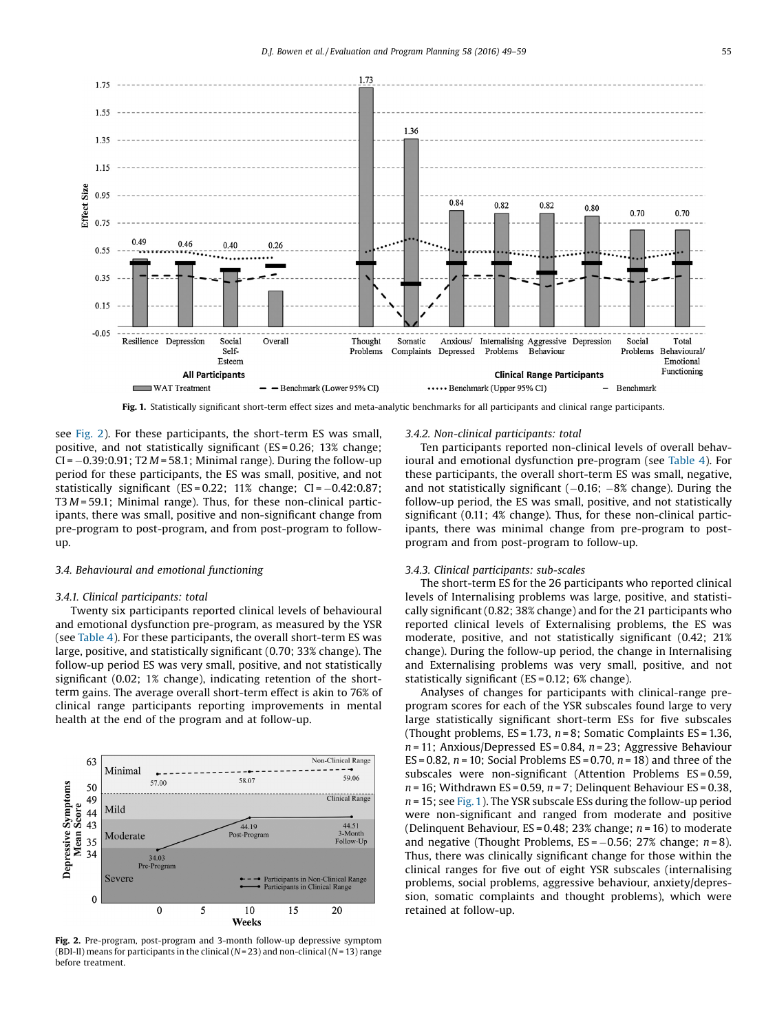<span id="page-6-0"></span>

Fig. 1. Statistically significant short-term effect sizes and meta-analytic benchmarks for all participants and clinical range participants.

see Fig. 2). For these participants, the short-term ES was small, positive, and not statistically significant (ES = 0.26; 13% change;  $CI = -0.39:0.91$ ; T2  $M = 58.1$ ; Minimal range). During the follow-up period for these participants, the ES was small, positive, and not statistically significant (ES =  $0.22$ ; 11% change; CI =  $-0.42$ : $0.87$ ; T3  $M = 59.1$ ; Minimal range). Thus, for these non-clinical participants, there was small, positive and non-significant change from pre-program to post-program, and from post-program to followup.

#### 3.4. Behavioural and emotional functioning

#### 3.4.1. Clinical participants: total

Twenty six participants reported clinical levels of behavioural and emotional dysfunction pre-program, as measured by the YSR (see [Table](#page-5-0) 4). For these participants, the overall short-term ES was large, positive, and statistically significant (0.70; 33% change). The follow-up period ES was very small, positive, and not statistically significant (0.02; 1% change), indicating retention of the shortterm gains. The average overall short-term effect is akin to 76% of clinical range participants reporting improvements in mental health at the end of the program and at follow-up.



Fig. 2. Pre-program, post-program and 3-month follow-up depressive symptom (BDI-II) means for participants in the clinical ( $N=23$ ) and non-clinical ( $N=13$ ) range before treatment.

#### 3.4.2. Non-clinical participants: total

Ten participants reported non-clinical levels of overall behavioural and emotional dysfunction pre-program (see [Table](#page-5-0) 4). For these participants, the overall short-term ES was small, negative, and not statistically significant  $(-0.16; -8\%)$  change). During the follow-up period, the ES was small, positive, and not statistically significant (0.11; 4% change). Thus, for these non-clinical participants, there was minimal change from pre-program to postprogram and from post-program to follow-up.

#### 3.4.3. Clinical participants: sub-scales

The short-term ES for the 26 participants who reported clinical levels of Internalising problems was large, positive, and statistically significant (0.82; 38% change) and for the 21 participants who reported clinical levels of Externalising problems, the ES was moderate, positive, and not statistically significant (0.42; 21% change). During the follow-up period, the change in Internalising and Externalising problems was very small, positive, and not statistically significant (ES = 0.12; 6% change).

Analyses of changes for participants with clinical-range preprogram scores for each of the YSR subscales found large to very large statistically significant short-term ESs for five subscales (Thought problems,  $ES = 1.73$ ,  $n = 8$ ; Somatic Complaints  $ES = 1.36$ ,  $n = 11$ ; Anxious/Depressed ES = 0.84,  $n = 23$ ; Aggressive Behaviour ES = 0.82,  $n = 10$ ; Social Problems ES = 0.70,  $n = 18$ ) and three of the subscales were non-significant (Attention Problems ES = 0.59,  $n = 16$ ; Withdrawn ES = 0.59,  $n = 7$ ; Delinquent Behaviour ES = 0.38,  $n = 15$ ; see Fig. 1). The YSR subscale ESs during the follow-up period were non-significant and ranged from moderate and positive (Delinquent Behaviour, ES = 0.48; 23% change;  $n = 16$ ) to moderate and negative (Thought Problems,  $ES = -0.56$ ; 27% change;  $n = 8$ ). Thus, there was clinically significant change for those within the clinical ranges for five out of eight YSR subscales (internalising problems, social problems, aggressive behaviour, anxiety/depression, somatic complaints and thought problems), which were retained at follow-up.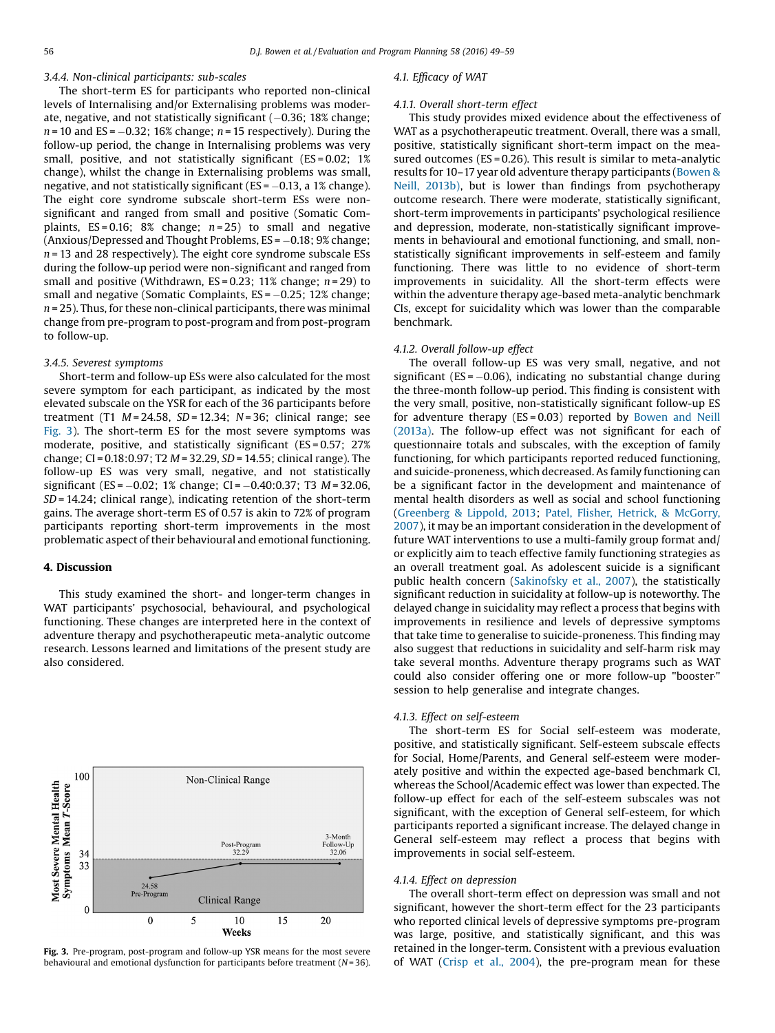# 3.4.4. Non-clinical participants: sub-scales

The short-term ES for participants who reported non-clinical levels of Internalising and/or Externalising problems was moderate, negative, and not statistically significant  $(-0.36; 18%$  change;  $n = 10$  and ES = -0.32; 16% change;  $n = 15$  respectively). During the follow-up period, the change in Internalising problems was very small, positive, and not statistically significant (ES = 0.02; 1%) change), whilst the change in Externalising problems was small, negative, and not statistically significant ( $ES = -0.13$ , a 1% change). The eight core syndrome subscale short-term ESs were nonsignificant and ranged from small and positive (Somatic Complaints,  $ES = 0.16$ ; 8% change;  $n = 25$ ) to small and negative  $(Anxious/Depressed and Thought Problems, ES =  $-0.18$ ; 9% change;$  $n = 13$  and 28 respectively). The eight core syndrome subscale ESs during the follow-up period were non-significant and ranged from small and positive (Withdrawn,  $ES = 0.23$ ; 11% change;  $n = 29$ ) to small and negative (Somatic Complaints,  $ES = -0.25$ ; 12% change;  $n = 25$ ). Thus, for these non-clinical participants, there was minimal change from pre-program to post-program and from post-program to follow-up.

#### 3.4.5. Severest symptoms

Short-term and follow-up ESs were also calculated for the most severe symptom for each participant, as indicated by the most elevated subscale on the YSR for each of the 36 participants before treatment (T1  $M = 24.58$ ,  $SD = 12.34$ ;  $N = 36$ ; clinical range; see Fig. 3). The short-term ES for the most severe symptoms was moderate, positive, and statistically significant (ES = 0.57; 27% change; CI = 0.18:0.97; T2 M = 32.29, SD= 14.55; clinical range). The follow-up ES was very small, negative, and not statistically significant (ES =  $-0.02$ ; 1% change; CI =  $-0.40$ :0.37; T3 M = 32.06, SD= 14.24; clinical range), indicating retention of the short-term gains. The average short-term ES of 0.57 is akin to 72% of program participants reporting short-term improvements in the most problematic aspect of their behavioural and emotional functioning.

#### 4. Discussion

This study examined the short- and longer-term changes in WAT participants' psychosocial, behavioural, and psychological functioning. These changes are interpreted here in the context of adventure therapy and psychotherapeutic meta-analytic outcome research. Lessons learned and limitations of the present study are also considered.



#### Fig. 3. Pre-program, post-program and follow-up YSR means for the most severe behavioural and emotional dysfunction for participants before treatment  $(N=36)$ .

#### 4.1. Efficacy of WAT

#### 4.1.1. Overall short-term effect

This study provides mixed evidence about the effectiveness of WAT as a psychotherapeutic treatment. Overall, there was a small, positive, statistically significant short-term impact on the measured outcomes ( $ES = 0.26$ ). This result is similar to meta-analytic results for 10–17 year old adventure therapy participants [\(Bowen](#page-9-0) & Neill, [2013b\),](#page-9-0) but is lower than findings from psychotherapy outcome research. There were moderate, statistically significant, short-term improvements in participants' psychological resilience and depression, moderate, non-statistically significant improvements in behavioural and emotional functioning, and small, nonstatistically significant improvements in self-esteem and family functioning. There was little to no evidence of short-term improvements in suicidality. All the short-term effects were within the adventure therapy age-based meta-analytic benchmark CIs, except for suicidality which was lower than the comparable benchmark.

#### 4.1.2. Overall follow-up effect

The overall follow-up ES was very small, negative, and not significant ( $ES = -0.06$ ), indicating no substantial change during the three-month follow-up period. This finding is consistent with the very small, positive, non-statistically significant follow-up ES for adventure therapy (ES = 0.03) reported by [Bowen](#page-9-0) and Neill [\(2013a\).](#page-9-0) The follow-up effect was not significant for each of questionnaire totals and subscales, with the exception of family functioning, for which participants reported reduced functioning, and suicide-proneness, which decreased. As family functioning can be a significant factor in the development and maintenance of mental health disorders as well as social and school functioning ([Greenberg](#page-10-0) & Lippold, 2013; Patel, Flisher, Hetrick, & [McGorry,](#page-10-0) [2007](#page-10-0)), it may be an important consideration in the development of future WAT interventions to use a multi-family group format and/ or explicitly aim to teach effective family functioning strategies as an overall treatment goal. As adolescent suicide is a significant public health concern [\(Sakinofsky](#page-10-0) et al., 2007), the statistically significant reduction in suicidality at follow-up is noteworthy. The delayed change in suicidality may reflect a process that begins with improvements in resilience and levels of depressive symptoms that take time to generalise to suicide-proneness. This finding may also suggest that reductions in suicidality and self-harm risk may take several months. Adventure therapy programs such as WAT could also consider offering one or more follow-up "booster' " session to help generalise and integrate changes.

#### 4.1.3. Effect on self-esteem

The short-term ES for Social self-esteem was moderate, positive, and statistically significant. Self-esteem subscale effects for Social, Home/Parents, and General self-esteem were moderately positive and within the expected age-based benchmark CI, whereas the School/Academic effect was lower than expected. The follow-up effect for each of the self-esteem subscales was not significant, with the exception of General self-esteem, for which participants reported a significant increase. The delayed change in General self-esteem may reflect a process that begins with improvements in social self-esteem.

#### 4.1.4. Effect on depression

The overall short-term effect on depression was small and not significant, however the short-term effect for the 23 participants who reported clinical levels of depressive symptoms pre-program was large, positive, and statistically significant, and this was retained in the longer-term. Consistent with a previous evaluation of WAT [\(Crisp](#page-9-0) et al., 2004), the pre-program mean for these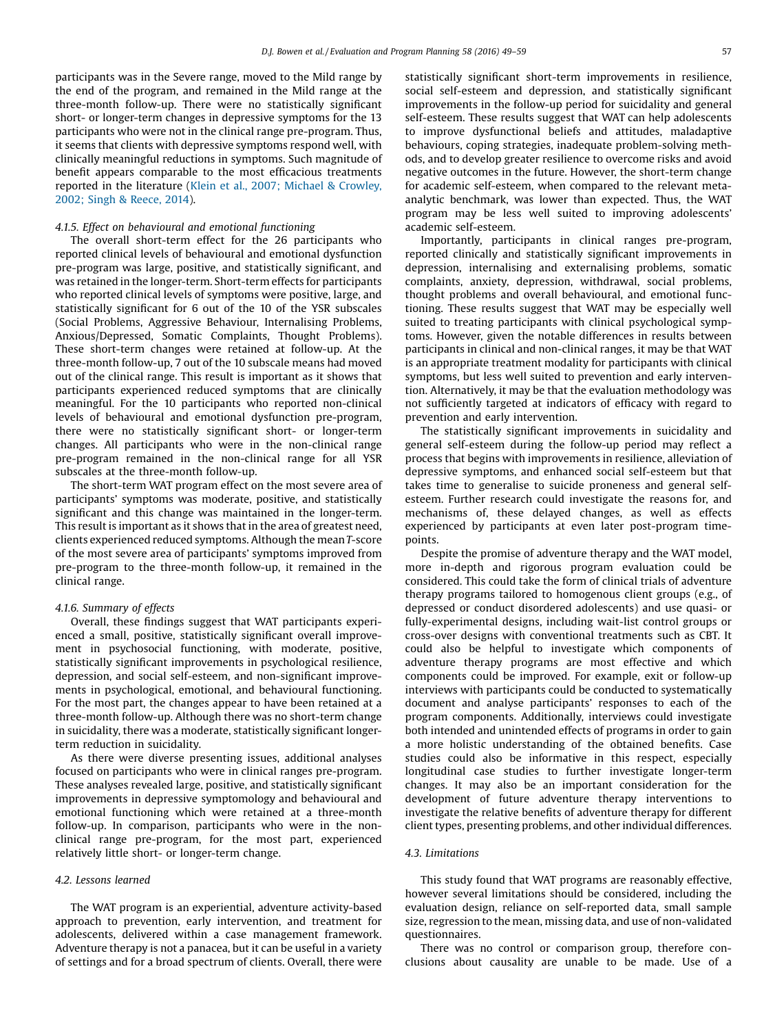participants was in the Severe range, moved to the Mild range by the end of the program, and remained in the Mild range at the three-month follow-up. There were no statistically significant short- or longer-term changes in depressive symptoms for the 13 participants who were not in the clinical range pre-program. Thus, it seems that clients with depressive symptoms respond well, with clinically meaningful reductions in symptoms. Such magnitude of benefit appears comparable to the most efficacious treatments reported in the literature (Klein et al., 2007; Michael & [Crowley,](#page-10-0) 2002; Singh & [Reece,](#page-10-0) 2014).

# 4.1.5. Effect on behavioural and emotional functioning

The overall short-term effect for the 26 participants who reported clinical levels of behavioural and emotional dysfunction pre-program was large, positive, and statistically significant, and was retained in the longer-term. Short-term effects for participants who reported clinical levels of symptoms were positive, large, and statistically significant for 6 out of the 10 of the YSR subscales (Social Problems, Aggressive Behaviour, Internalising Problems, Anxious/Depressed, Somatic Complaints, Thought Problems). These short-term changes were retained at follow-up. At the three-month follow-up, 7 out of the 10 subscale means had moved out of the clinical range. This result is important as it shows that participants experienced reduced symptoms that are clinically meaningful. For the 10 participants who reported non-clinical levels of behavioural and emotional dysfunction pre-program, there were no statistically significant short- or longer-term changes. All participants who were in the non-clinical range pre-program remained in the non-clinical range for all YSR subscales at the three-month follow-up.

The short-term WAT program effect on the most severe area of participants' symptoms was moderate, positive, and statistically significant and this change was maintained in the longer-term. This result is important as it shows that in the area of greatest need, clients experienced reduced symptoms. Although the meanT-score of the most severe area of participants' symptoms improved from pre-program to the three-month follow-up, it remained in the clinical range.

#### 4.1.6. Summary of effects

Overall, these findings suggest that WAT participants experienced a small, positive, statistically significant overall improvement in psychosocial functioning, with moderate, positive, statistically significant improvements in psychological resilience, depression, and social self-esteem, and non-significant improvements in psychological, emotional, and behavioural functioning. For the most part, the changes appear to have been retained at a three-month follow-up. Although there was no short-term change in suicidality, there was a moderate, statistically significant longerterm reduction in suicidality.

As there were diverse presenting issues, additional analyses focused on participants who were in clinical ranges pre-program. These analyses revealed large, positive, and statistically significant improvements in depressive symptomology and behavioural and emotional functioning which were retained at a three-month follow-up. In comparison, participants who were in the nonclinical range pre-program, for the most part, experienced relatively little short- or longer-term change.

#### 4.2. Lessons learned

The WAT program is an experiential, adventure activity-based approach to prevention, early intervention, and treatment for adolescents, delivered within a case management framework. Adventure therapy is not a panacea, but it can be useful in a variety of settings and for a broad spectrum of clients. Overall, there were statistically significant short-term improvements in resilience, social self-esteem and depression, and statistically significant improvements in the follow-up period for suicidality and general self-esteem. These results suggest that WAT can help adolescents to improve dysfunctional beliefs and attitudes, maladaptive behaviours, coping strategies, inadequate problem-solving methods, and to develop greater resilience to overcome risks and avoid negative outcomes in the future. However, the short-term change for academic self-esteem, when compared to the relevant metaanalytic benchmark, was lower than expected. Thus, the WAT program may be less well suited to improving adolescents' academic self-esteem.

Importantly, participants in clinical ranges pre-program, reported clinically and statistically significant improvements in depression, internalising and externalising problems, somatic complaints, anxiety, depression, withdrawal, social problems, thought problems and overall behavioural, and emotional functioning. These results suggest that WAT may be especially well suited to treating participants with clinical psychological symptoms. However, given the notable differences in results between participants in clinical and non-clinical ranges, it may be that WAT is an appropriate treatment modality for participants with clinical symptoms, but less well suited to prevention and early intervention. Alternatively, it may be that the evaluation methodology was not sufficiently targeted at indicators of efficacy with regard to prevention and early intervention.

The statistically significant improvements in suicidality and general self-esteem during the follow-up period may reflect a process that begins with improvements in resilience, alleviation of depressive symptoms, and enhanced social self-esteem but that takes time to generalise to suicide proneness and general selfesteem. Further research could investigate the reasons for, and mechanisms of, these delayed changes, as well as effects experienced by participants at even later post-program timepoints.

Despite the promise of adventure therapy and the WAT model, more in-depth and rigorous program evaluation could be considered. This could take the form of clinical trials of adventure therapy programs tailored to homogenous client groups (e.g., of depressed or conduct disordered adolescents) and use quasi- or fully-experimental designs, including wait-list control groups or cross-over designs with conventional treatments such as CBT. It could also be helpful to investigate which components of adventure therapy programs are most effective and which components could be improved. For example, exit or follow-up interviews with participants could be conducted to systematically document and analyse participants' responses to each of the program components. Additionally, interviews could investigate both intended and unintended effects of programs in order to gain a more holistic understanding of the obtained benefits. Case studies could also be informative in this respect, especially longitudinal case studies to further investigate longer-term changes. It may also be an important consideration for the development of future adventure therapy interventions to investigate the relative benefits of adventure therapy for different client types, presenting problems, and other individual differences.

#### 4.3. Limitations

This study found that WAT programs are reasonably effective, however several limitations should be considered, including the evaluation design, reliance on self-reported data, small sample size, regression to the mean, missing data, and use of non-validated questionnaires.

There was no control or comparison group, therefore conclusions about causality are unable to be made. Use of a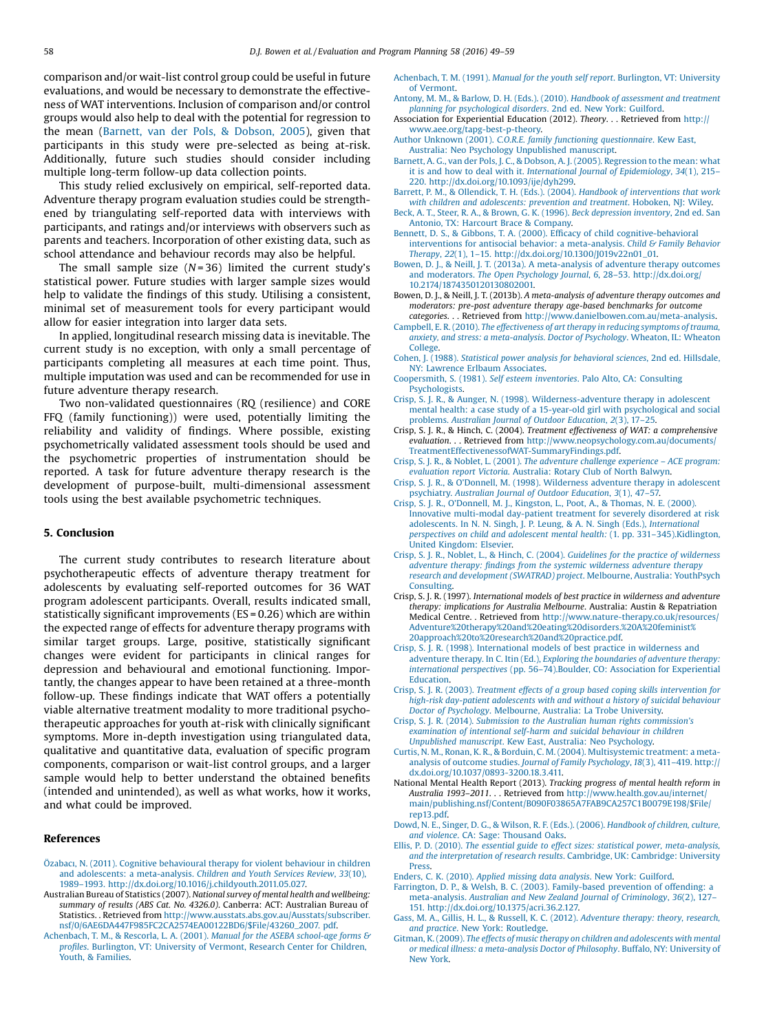<span id="page-9-0"></span>comparison and/or wait-list control group could be useful in future evaluations, and would be necessary to demonstrate the effectiveness of WAT interventions. Inclusion of comparison and/or control groups would also help to deal with the potential for regression to the mean (Barnett, van der Pols, & Dobson, 2005), given that participants in this study were pre-selected as being at-risk. Additionally, future such studies should consider including multiple long-term follow-up data collection points.

This study relied exclusively on empirical, self-reported data. Adventure therapy program evaluation studies could be strengthened by triangulating self-reported data with interviews with participants, and ratings and/or interviews with observers such as parents and teachers. Incorporation of other existing data, such as school attendance and behaviour records may also be helpful.

The small sample size  $(N=36)$  limited the current study's statistical power. Future studies with larger sample sizes would help to validate the findings of this study. Utilising a consistent, minimal set of measurement tools for every participant would allow for easier integration into larger data sets.

In applied, longitudinal research missing data is inevitable. The current study is no exception, with only a small percentage of participants completing all measures at each time point. Thus, multiple imputation was used and can be recommended for use in future adventure therapy research.

Two non-validated questionnaires (RQ (resilience) and CORE FFQ (family functioning)) were used, potentially limiting the reliability and validity of findings. Where possible, existing psychometrically validated assessment tools should be used and the psychometric properties of instrumentation should be reported. A task for future adventure therapy research is the development of purpose-built, multi-dimensional assessment tools using the best available psychometric techniques.

#### 5. Conclusion

The current study contributes to research literature about psychotherapeutic effects of adventure therapy treatment for adolescents by evaluating self-reported outcomes for 36 WAT program adolescent participants. Overall, results indicated small, statistically significant improvements (ES = 0.26) which are within the expected range of effects for adventure therapy programs with similar target groups. Large, positive, statistically significant changes were evident for participants in clinical ranges for depression and behavioural and emotional functioning. Importantly, the changes appear to have been retained at a three-month follow-up. These findings indicate that WAT offers a potentially viable alternative treatment modality to more traditional psychotherapeutic approaches for youth at-risk with clinically significant symptoms. More in-depth investigation using triangulated data, qualitative and quantitative data, evaluation of specific program components, comparison or wait-list control groups, and a larger sample would help to better understand the obtained benefits (intended and unintended), as well as what works, how it works, and what could be improved.

#### References

- Özabacı, N. (2011). Cognitive [behavioural](http://refhub.elsevier.com/S0149-7189(15)30009-4/sbref0005) therapy for violent behaviour in children and adolescents: a [meta-analysis.](http://refhub.elsevier.com/S0149-7189(15)30009-4/sbref0005) Children and Youth Services Review, 33(10), 1989–1993. [http://dx.doi.org/10.1016/j.childyouth.2011.05.027.](http://refhub.elsevier.com/S0149-7189(15)30009-4/sbref0005)
- Australian Bureau of Statistics (2007). National survey of mental health and wellbeing: summary of results (ABS Cat. No. 4326.0). Canberra: ACT: Australian Bureau of Statistics. . Retrieved from [http://www.ausstats.abs.gov.au/Ausstats/subscriber.](http://www.ausstats.abs.gov.au/Ausstats/subscriber.nsf/0/6AE6DA447F985FC2CA2574EA00122BD6/$File/43260_2007.%20pdf) [nsf/0/6AE6DA447F985FC2CA2574EA00122BD6/\\$File/43260\\_2007.](http://www.ausstats.abs.gov.au/Ausstats/subscriber.nsf/0/6AE6DA447F985FC2CA2574EA00122BD6/$File/43260_2007.%20pdf) pdf.
- [Achenbach,](http://refhub.elsevier.com/S0149-7189(15)30009-4/sbref0015) T. M., & Rescorla, L. A. (2001). Manual for the ASEBA school-age forms & profiles. [Burlington,](http://refhub.elsevier.com/S0149-7189(15)30009-4/sbref0015) VT: University of Vermont, Research Center for Children, Youth, & [Families](http://refhub.elsevier.com/S0149-7189(15)30009-4/sbref0015).

Antony, M. M., & Barlow, D. H. (Eds.). (2010). Handbook of [assessment](http://refhub.elsevier.com/S0149-7189(15)30009-4/sbref0025) and treatment planning for [psychological](http://refhub.elsevier.com/S0149-7189(15)30009-4/sbref0025) disorders. 2nd ed. New York: Guilford.

Association for Experiential Education (2012). Theory. . . Retrieved from [http://](http://www.aee.org/tapg-best-p-theory) [www.aee.org/tapg-best-p-theory.](http://www.aee.org/tapg-best-p-theory)

Author Unknown (2001). C.O.R.E. family functioning [questionnaire](http://refhub.elsevier.com/S0149-7189(15)30009-4/sbref0035). Kew East, Australia: Neo Psychology [Unpublished](http://refhub.elsevier.com/S0149-7189(15)30009-4/sbref0035) manuscript.

Barnett, A. G., van der Pols, J. C., & Dobson, A. J. (2005). [Regression](http://refhub.elsevier.com/S0149-7189(15)30009-4/sbref0040) to the mean: what it is and how to deal with it. International Journal of [Epidemiology](http://refhub.elsevier.com/S0149-7189(15)30009-4/sbref0040), 34(1), 215– 220. [http://dx.doi.org/10.1093/ije/dyh299.](http://refhub.elsevier.com/S0149-7189(15)30009-4/sbref0040)

Barrett, P. M., & Ollendick, T. H. (Eds.). (2004). Handbook of [interventions](http://refhub.elsevier.com/S0149-7189(15)30009-4/sbref0045) that work with children and [adolescents:](http://refhub.elsevier.com/S0149-7189(15)30009-4/sbref0045) prevention and treatment. Hoboken, NJ: Wiley.

Beck, A. T., Steer, R. A., & Brown, G. K. (1996). Beck [depression](http://refhub.elsevier.com/S0149-7189(15)30009-4/sbref0050) inventory, 2nd ed. San Antonio, TX: Harcourt Brace & [Company](http://refhub.elsevier.com/S0149-7189(15)30009-4/sbref0050).

- Bennett, D. S., & Gibbons, T. A. (2000). Efficacy of child [cognitive-behavioral](http://refhub.elsevier.com/S0149-7189(15)30009-4/sbref0055) interventions for antisocial behavior: a [meta-analysis.](http://refhub.elsevier.com/S0149-7189(15)30009-4/sbref0055) Child & Family Behavior Therapy, 22(1), 1–15. [http://dx.doi.org/10.1300/J019v22n01\\_01.](http://refhub.elsevier.com/S0149-7189(15)30009-4/sbref0055)
- Bowen, D. J., & Neill, J. T. (2013a). A [meta-analysis](http://refhub.elsevier.com/S0149-7189(15)30009-4/sbref0060) of adventure therapy outcomes and moderators. The Open Psychology Journal, 6, 28–53. [http://dx.doi.org/](http://refhub.elsevier.com/S0149-7189(15)30009-4/sbref0060) [10.2174/1874350120130802001.](http://dx.doi.org/10.2174/1874350120130802001)
- Bowen, D. J., & Neill, J. T. (2013b). A meta-analysis of adventure therapy outcomes and moderators: pre-post adventure therapy age-based benchmarks for outcome categories. . . Retrieved from [http://www.danielbowen.com.au/meta-analysis.](http://www.danielbowen.com.au/meta-analysis)
- Campbell, E. R.(2010). The [effectiveness](http://refhub.elsevier.com/S0149-7189(15)30009-4/sbref0070) of art therapy in reducing symptoms of trauma, anxiety, and stress: a [meta-analysis.](http://refhub.elsevier.com/S0149-7189(15)30009-4/sbref0070) Doctor of Psychology. Wheaton, IL: Wheaton [College.](http://refhub.elsevier.com/S0149-7189(15)30009-4/sbref0070)
- Cohen, J. (1988). Statistical power analysis for [behavioral](http://refhub.elsevier.com/S0149-7189(15)30009-4/sbref0075) sciences, 2nd ed. Hillsdale, NY: Lawrence Erlbaum [Associates.](http://refhub.elsevier.com/S0149-7189(15)30009-4/sbref0075)
- [Coopersmith,](http://refhub.elsevier.com/S0149-7189(15)30009-4/sbref0080) S. (1981). Self esteem inventories. Palo Alto, CA: Consulting [Psychologists.](http://refhub.elsevier.com/S0149-7189(15)30009-4/sbref0080)
- Crisp, S. J. R., & Aunger, N. (1998). [Wilderness-adventure](http://refhub.elsevier.com/S0149-7189(15)30009-4/sbref0085) therapy in adolescent mental health: a case study of a 15-year-old girl with [psychological](http://refhub.elsevier.com/S0149-7189(15)30009-4/sbref0085) and social [problems.](http://refhub.elsevier.com/S0149-7189(15)30009-4/sbref0085) Australian Journal of Outdoor Education, 2(3), 17–25.
- Crisp, S. J. R., & Hinch, C. (2004). Treatment effectiveness of WAT: a comprehensive evaluation. . . Retrieved from [http://www.neopsychology.com.au/documents/](http://www.neopsychology.com.au/documents/TreatmentEffectivenessofWAT-SummaryFindings.pdf) [TreatmentEffectivenessofWAT-SummaryFindings.pdf.](http://www.neopsychology.com.au/documents/TreatmentEffectivenessofWAT-SummaryFindings.pdf)
- Crisp, S. J. R., & Noblet, L. (2001). The adventure challenge [experience](http://refhub.elsevier.com/S0149-7189(15)30009-4/sbref0095) ACE program: [evaluation](http://refhub.elsevier.com/S0149-7189(15)30009-4/sbref0095) report Victoria. Australia: Rotary Club of North Balwyn.
- Crisp, S. J. R., & O'Donnell, M. (1998). [Wilderness](http://refhub.elsevier.com/S0149-7189(15)30009-4/sbref0100) adventure therapy in adolescent [psychiatry.](http://refhub.elsevier.com/S0149-7189(15)30009-4/sbref0100) Australian Journal of Outdoor Education, 3(1), 47–57.
- Crisp, S. J. R., O'Donnell, M. J., [Kingston,](http://refhub.elsevier.com/S0149-7189(15)30009-4/sbref0105) L., Poot, A., & Thomas, N. E. (2000). Innovative [multi-modal](http://refhub.elsevier.com/S0149-7189(15)30009-4/sbref0105) day-patient treatment for severely disordered at risk adolescents. In N. N. Singh, J. P. Leung, & A. N. Singh (Eds.), [International](http://refhub.elsevier.com/S0149-7189(15)30009-4/sbref0105) perspectives on child and adolescent mental health: (1. pp. 331–[345\).Kidlington,](http://refhub.elsevier.com/S0149-7189(15)30009-4/sbref0105) United [Kingdom:](http://refhub.elsevier.com/S0149-7189(15)30009-4/sbref0105) Elsevier.
- Crisp, S. J. R., Noblet, L., & Hinch, C. (2004). Guidelines for the practice of [wilderness](http://refhub.elsevier.com/S0149-7189(15)30009-4/sbref0110) adventure therapy: findings from the systemic [wilderness](http://refhub.elsevier.com/S0149-7189(15)30009-4/sbref0110) adventure therapy research and [development](http://refhub.elsevier.com/S0149-7189(15)30009-4/sbref0110) (SWATRAD) project. Melbourne, Australia: YouthPsych [Consulting](http://refhub.elsevier.com/S0149-7189(15)30009-4/sbref0110).
- Crisp, S. J. R. (1997). International models of best practice in wilderness and adventure therapy: implications for Australia Melbourne. Australia: Austin & Repatriation Medical Centre. . Retrieved from [http://www.nature-therapy.co.uk/resources/](http://www.nature-therapy.co.uk/resources/Adventure%20therapy%20and%20eating%20disorders.%20A%20feminist%20approach%20to%20research%20and%20practice.pdf) [Adventure%20therapy%20and%20eating%20disorders.%20A%20feminist%](http://www.nature-therapy.co.uk/resources/Adventure%20therapy%20and%20eating%20disorders.%20A%20feminist%20approach%20to%20research%20and%20practice.pdf) [20approach%20to%20research%20and%20practice.pdf](http://www.nature-therapy.co.uk/resources/Adventure%20therapy%20and%20eating%20disorders.%20A%20feminist%20approach%20to%20research%20and%20practice.pdf).
- Crisp, S. J. R. (1998). [International](http://refhub.elsevier.com/S0149-7189(15)30009-4/sbref0120) models of best practice in wilderness and adventure therapy. In C. Itin (Ed.), Exploring the [boundaries](http://refhub.elsevier.com/S0149-7189(15)30009-4/sbref0120) of adventure therapy: [international](http://refhub.elsevier.com/S0149-7189(15)30009-4/sbref0120) perspectives (pp. 56–74).Boulder, CO: Association for Experiential [Education](http://refhub.elsevier.com/S0149-7189(15)30009-4/sbref0120).
- Crisp, S. J. R. (2003). Treatment effects of a group based coping skills [intervention](http://refhub.elsevier.com/S0149-7189(15)30009-4/sbref0125) for high-risk [day-patient](http://refhub.elsevier.com/S0149-7189(15)30009-4/sbref0125) adolescents with and without a history of suicidal behaviour Doctor of Psychology. [Melbourne,](http://refhub.elsevier.com/S0149-7189(15)30009-4/sbref0125) Australia: La Trobe University.
- Crisp, S. J. R. (2014). Submission to the Australian human rights [commission's](http://refhub.elsevier.com/S0149-7189(15)30009-4/sbref0130) [examination](http://refhub.elsevier.com/S0149-7189(15)30009-4/sbref0130) of intentional self-harm and suicidal behaviour in children [Unpublished](http://refhub.elsevier.com/S0149-7189(15)30009-4/sbref0130) manuscript. Kew East, Australia: Neo Psychology.
- Curtis, N. M., Ronan, K. R., & Borduin, C. M. (2004). [Multisystemic](http://refhub.elsevier.com/S0149-7189(15)30009-4/sbref0135) treatment: a metaanalysis of outcome studies. Journal of Family [Psychology](http://refhub.elsevier.com/S0149-7189(15)30009-4/sbref0135), 18(3), 411–419. http:// [dx.doi.org/10.1037/0893-3200.18.3.411.](http://dx.doi.org/10.1037/0893-3200.18.3.411)
- National Mental Health Report (2013). Tracking progress of mental health reform in Australia 1993–2011. . . Retrieved from [http://www.health.gov.au/internet/](http://www.health.gov.au/internet/main/publishing.nsf/Content/B090F03865A7FAB9CA257C1B0079E198/$File/rep13.pdf) [main/publishing.nsf/Content/B090F03865A7FAB9CA257C1B0079E198/\\$File/](http://www.health.gov.au/internet/main/publishing.nsf/Content/B090F03865A7FAB9CA257C1B0079E198/$File/rep13.pdf) [rep13.pdf.](http://www.health.gov.au/internet/main/publishing.nsf/Content/B090F03865A7FAB9CA257C1B0079E198/$File/rep13.pdf)
- Dowd, N. E., Singer, D. G., & Wilson, R. F. (Eds.). (2006). [Handbook](http://refhub.elsevier.com/S0149-7189(15)30009-4/sbref0145) of children, culture, and violence. CA: Sage: [Thousand](http://refhub.elsevier.com/S0149-7189(15)30009-4/sbref0145) Oaks.
- Ellis, P. D. (2010). The essential guide to effect sizes: statistical power, [meta-analysis,](http://refhub.elsevier.com/S0149-7189(15)30009-4/sbref0150) and the [interpretation](http://refhub.elsevier.com/S0149-7189(15)30009-4/sbref0150) of research results. Cambridge, UK: Cambridge: University **[Press](http://refhub.elsevier.com/S0149-7189(15)30009-4/sbref0150)**
- Enders, C. K. (2010). Applied missing data analysis. New York: [Guilford.](http://refhub.elsevier.com/S0149-7189(15)30009-4/sbref0155)
- Farrington, D. P., & Welsh, B. C. (2003). [Family-based](http://refhub.elsevier.com/S0149-7189(15)30009-4/sbref0160) prevention of offending: a [meta-analysis.](http://refhub.elsevier.com/S0149-7189(15)30009-4/sbref0160) Australian and New Zealand Journal of Criminology, 36(2), 127– 151. [http://dx.doi.org/10.1375/acri.36.2.127.](http://refhub.elsevier.com/S0149-7189(15)30009-4/sbref0160)
- Gass, M. A., Gillis, H. L., & Russell, K. C. (2012). [Adventure](http://refhub.elsevier.com/S0149-7189(15)30009-4/sbref0165) therapy: theory, research, and practice. New York: [Routledge.](http://refhub.elsevier.com/S0149-7189(15)30009-4/sbref0165)
- Gitman, K. (2009). The effects of music therapy on children and [adolescents](http://refhub.elsevier.com/S0149-7189(15)30009-4/sbref0170) with mental or medical illness: a [meta-analysis](http://refhub.elsevier.com/S0149-7189(15)30009-4/sbref0170) Doctor of Philosophy. Buffalo, NY: University of New [York.](http://refhub.elsevier.com/S0149-7189(15)30009-4/sbref0170)

[Achenbach,](http://refhub.elsevier.com/S0149-7189(15)30009-4/sbref0020) T. M. (1991). Manual for the youth self report. Burlington, VT: University of [Vermont.](http://refhub.elsevier.com/S0149-7189(15)30009-4/sbref0020)